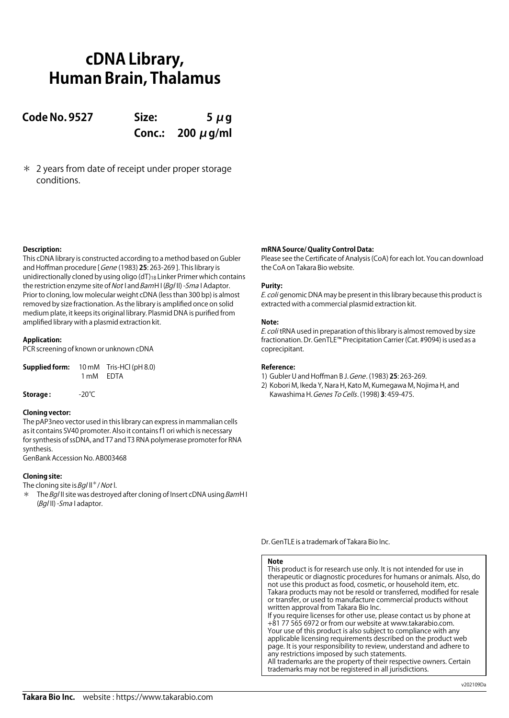# **cDNA Library, Human Brain, Thalamus**

**Code No. 9527 Size: 5 μg Conc.: 200 μg/ml**

\* 2 years from date of receipt under proper storage conditions.

## **Description:**

This cDNA library is constructed according to a method based on Gubler and Hoffman procedure [ Gene (1983) **25**: 263-269 ]. This library is unidirectionally cloned by using oligo  $(dT)_{18}$  Linker Primer which contains the restriction enzyme site of Not I and BamH I (Bq/II) - Sma I Adaptor. Prior to cloning, low molecular weight cDNA (less than 300 bp) is almost removed by size fractionation. As the library is amplified once on solid medium plate, it keeps its original library. Plasmid DNA is purified from amplified library with a plasmid extraction kit.

### **Application:**

PCR screening of known or unknown cDNA

| Supplied form: |           | 10 mM Tris-HCl (pH 8.0) |
|----------------|-----------|-------------------------|
|                | 1 mM EDTA |                         |

**Storage :** -20℃

### **Cloning vector:**

The pAP3neo vector used in this library can express in mammalian cells as it contains SV40 promoter. Also it contains f1 ori which is necessary for synthesis of ssDNA, and T7 and T3 RNA polymerase promoter for RNA synthesis.

GenBank Accession No. AB003468

# **Cloning site:**

The cloning site is  $Bq/||^*/$  Not l.

 $*$  The Bql II site was destroyed after cloning of Insert cDNA using BamH I (Bg/II) - Sma I adaptor.

## **mRNA Source/ Quality Control Data:**

Please see the Certificate of Analysis (CoA) for each lot. You can download the CoA on Takara Bio website.

### **Purity:**

E. coli genomic DNA may be present in this library because this product is extracted with a commercial plasmid extraction kit.

### **Note:**

E. coli tRNA used in preparation of this library is almost removed by size fractionation. Dr. GenTLE™ Precipitation Carrier (Cat. #9094) is used as a coprecipitant.

## **Reference:**

- 1) Gubler U and Hoffman B J. Gene. (1983) **25**: 263-269.
- 2) Kobori M, Ikeda Y, Nara H, Kato M, Kumegawa M, Nojima H, and Kawashima H. Genes To Cells. (1998) **3**: 459-475.

Dr. GenTLE is a trademark of Takara Bio Inc.

### **Note**

This product is for research use only. It is not intended for use in therapeutic or diagnostic procedures for humans or animals. Also, do not use this product as food, cosmetic, or household item, etc. Takara products may not be resold or transferred, modified for resale or transfer, or used to manufacture commercial products without written approval from Takara Bio Inc. If you require licenses for other use, please contact us by phone at +81 77 565 6972 or from our website at www.takarabio.com.

Your use of this product is also subject to compliance with any applicable licensing requirements described on the product web page. It is your responsibility to review, understand and adhere to any restrictions imposed by such statements. All trademarks are the property of their respective owners. Certain trademarks may not be registered in all jurisdictions.

**Takara Bio Inc.** website : https://www.takarabio.com